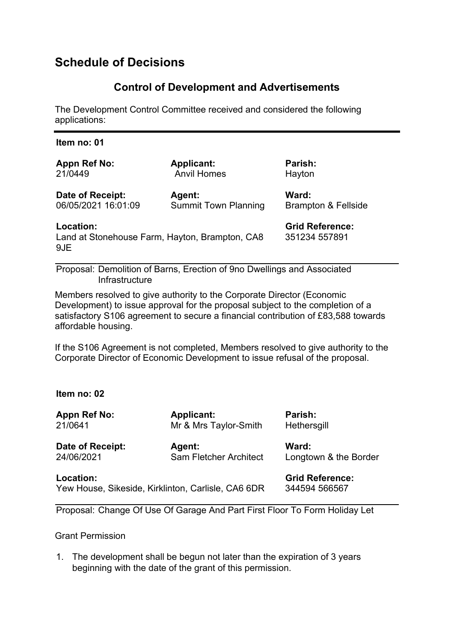# **Schedule of Decisions**

## **Control of Development and Advertisements**

The Development Control Committee received and considered the following applications:

| Item no: 01                                                        |                             |                                         |
|--------------------------------------------------------------------|-----------------------------|-----------------------------------------|
| <b>Appn Ref No:</b>                                                | <b>Applicant:</b>           | Parish:                                 |
| 21/0449                                                            | <b>Anvil Homes</b>          | Hayton                                  |
| Date of Receipt:                                                   | <b>Agent:</b>               | Ward:                                   |
| 06/05/2021 16:01:09                                                | <b>Summit Town Planning</b> | <b>Brampton &amp; Fellside</b>          |
| Location:<br>Land at Stonehouse Farm, Hayton, Brampton, CA8<br>9JE |                             | <b>Grid Reference:</b><br>351234 557891 |

Proposal: Demolition of Barns, Erection of 9no Dwellings and Associated **Infrastructure** 

Members resolved to give authority to the Corporate Director (Economic Development) to issue approval for the proposal subject to the completion of a satisfactory S106 agreement to secure a financial contribution of £83,588 towards affordable housing.

If the S106 Agreement is not completed, Members resolved to give authority to the Corporate Director of Economic Development to issue refusal of the proposal.

## **Item no: 02**

| <b>Appn Ref No:</b>                                             | <b>Applicant:</b>             | Parish:                                 |
|-----------------------------------------------------------------|-------------------------------|-----------------------------------------|
| 21/0641                                                         | Mr & Mrs Taylor-Smith         | Hethersgill                             |
| Date of Receipt:                                                | Agent:                        | Ward:                                   |
| 24/06/2021                                                      | <b>Sam Fletcher Architect</b> | Longtown & the Border                   |
| Location:<br>Yew House, Sikeside, Kirklinton, Carlisle, CA6 6DR |                               | <b>Grid Reference:</b><br>344594 566567 |

Proposal: Change Of Use Of Garage And Part First Floor To Form Holiday Let

Grant Permission

1. The development shall be begun not later than the expiration of 3 years beginning with the date of the grant of this permission.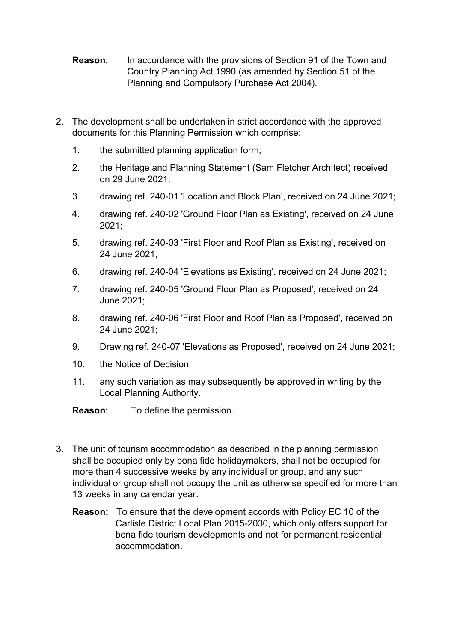- **Reason:** In accordance with the provisions of Section 91 of the Town and Country Planning Act 1990 (as amended by Section 51 of the Planning and Compulsory Purchase Act 2004).
- 2. The development shall be undertaken in strict accordance with the approved documents for this Planning Permission which comprise:
	- 1. the submitted planning application form;
	- 2. the Heritage and Planning Statement (Sam Fletcher Architect) received on 29 June 2021;
	- 3. drawing ref. 240-01 'Location and Block Plan', received on 24 June 2021;
	- 4. drawing ref. 240-02 'Ground Floor Plan as Existing', received on 24 June 2021;
	- 5. drawing ref. 240-03 'First Floor and Roof Plan as Existing', received on 24 June 2021;
	- 6. drawing ref. 240-04 'Elevations as Existing', received on 24 June 2021;
	- 7. drawing ref. 240-05 'Ground Floor Plan as Proposed', received on 24 June 2021;
	- 8. drawing ref. 240-06 'First Floor and Roof Plan as Proposed', received on 24 June 2021;
	- 9. Drawing ref. 240-07 'Elevations as Proposed', received on 24 June 2021;
	- 10. the Notice of Decision;
	- 11. any such variation as may subsequently be approved in writing by the Local Planning Authority.
	- **Reason**: To define the permission.
- 3. The unit of tourism accommodation as described in the planning permission shall be occupied only by bona fide holidaymakers, shall not be occupied for more than 4 successive weeks by any individual or group, and any such individual or group shall not occupy the unit as otherwise specified for more than 13 weeks in any calendar year.
	- **Reason:** To ensure that the development accords with Policy EC 10 of the Carlisle District Local Plan 2015-2030, which only offers support for bona fide tourism developments and not for permanent residential accommodation.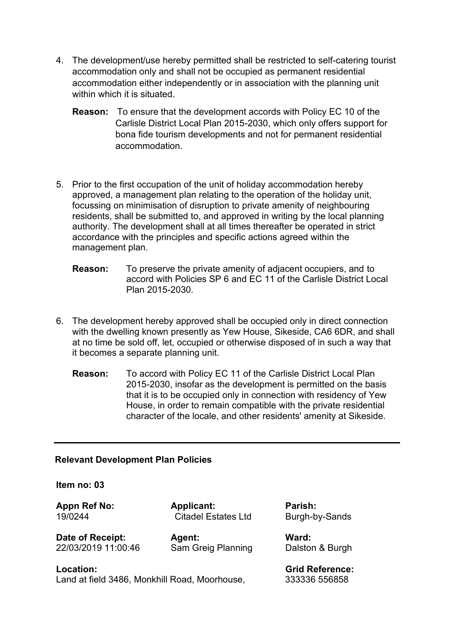- 4. The development/use hereby permitted shall be restricted to self-catering tourist accommodation only and shall not be occupied as permanent residential accommodation either independently or in association with the planning unit within which it is situated.
	- **Reason:** To ensure that the development accords with Policy EC 10 of the Carlisle District Local Plan 2015-2030, which only offers support for bona fide tourism developments and not for permanent residential accommodation.
- 5. Prior to the first occupation of the unit of holiday accommodation hereby approved, a management plan relating to the operation of the holiday unit, focussing on minimisation of disruption to private amenity of neighbouring residents, shall be submitted to, and approved in writing by the local planning authority. The development shall at all times thereafter be operated in strict accordance with the principles and specific actions agreed within the management plan.
	- **Reason:** To preserve the private amenity of adjacent occupiers, and to accord with Policies SP 6 and EC 11 of the Carlisle District Local Plan 2015-2030.
- 6. The development hereby approved shall be occupied only in direct connection with the dwelling known presently as Yew House, Sikeside, CA6 6DR, and shall at no time be sold off, let, occupied or otherwise disposed of in such a way that it becomes a separate planning unit.
	- **Reason:** To accord with Policy EC 11 of the Carlisle District Local Plan 2015-2030, insofar as the development is permitted on the basis that it is to be occupied only in connection with residency of Yew House, in order to remain compatible with the private residential character of the locale, and other residents' amenity at Sikeside.

## **Relevant Development Plan Policies**

#### **Item no: 03**

**Appn Ref No: Applicant: Parish:**  19/0244 **Citadel Estates Ltd** Burgh-by-Sands

**Date of Receipt: Agent: Agent:** Ward: **Ward:** 72/03/2019 11:00:46 Sam Greig Planning **Management** 

Sam Greig Planning Dalston & Burgh

**Location: Grid Reference:**  Land at field 3486, Monkhill Road, Moorhouse, 333336 556858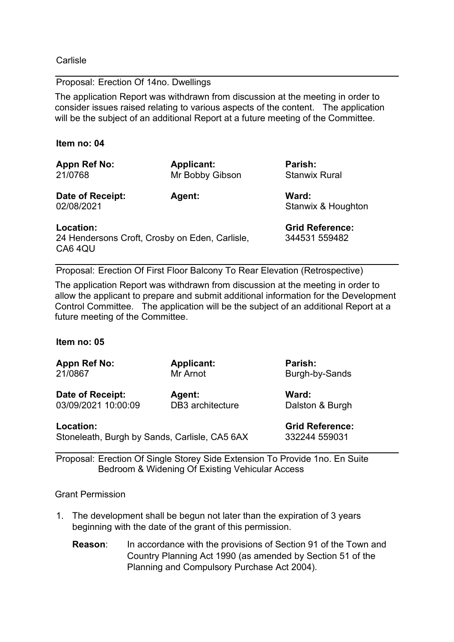**Carlisle** 

### Proposal: Erection Of 14no. Dwellings

The application Report was withdrawn from discussion at the meeting in order to consider issues raised relating to various aspects of the content. The application will be the subject of an additional Report at a future meeting of the Committee.

#### **Item no: 04**

| Appn Ref No:<br>21/0768        | <b>Applicant:</b><br>Mr Bobby Gibson | Parish:<br><b>Stanwix Rural</b> |
|--------------------------------|--------------------------------------|---------------------------------|
| Date of Receipt:<br>02/08/2021 | <b>Agent:</b>                        | Ward:<br>Stanwix & Houghton     |
| Location:                      |                                      | <b>Grid Reference:</b>          |

24 Hendersons Croft, Crosby on Eden, Carlisle, 344531 559482 CA6 4QU

Proposal: Erection Of First Floor Balcony To Rear Elevation (Retrospective)

The application Report was withdrawn from discussion at the meeting in order to allow the applicant to prepare and submit additional information for the Development Control Committee. The application will be the subject of an additional Report at a future meeting of the Committee.

#### **Item no: 05**

| Appn Ref No: | <b>Applicant:</b> | Parish: |
|--------------|-------------------|---------|
| 21/0867      | Mr Arnot          | Burgh-b |

Date of Receipt: Agent: **Ward:** Ward: 03/09/2021 10:00:09 DB3 architecture Dalston & Burgh

**Location: Grid Reference:**  Stoneleath, Burgh by Sands, Carlisle, CA5 6AX 332244 559031

Burgh-by-Sands

Proposal: Erection Of Single Storey Side Extension To Provide 1no. En Suite Bedroom & Widening Of Existing Vehicular Access

#### Grant Permission

- 1. The development shall be begun not later than the expiration of 3 years beginning with the date of the grant of this permission.
	- **Reason:** In accordance with the provisions of Section 91 of the Town and Country Planning Act 1990 (as amended by Section 51 of the Planning and Compulsory Purchase Act 2004).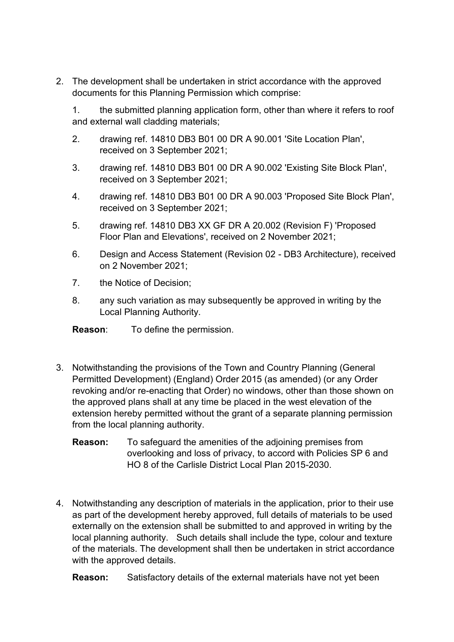2. The development shall be undertaken in strict accordance with the approved documents for this Planning Permission which comprise:

1. the submitted planning application form, other than where it refers to roof and external wall cladding materials;

- 2. drawing ref. 14810 DB3 B01 00 DR A 90.001 'Site Location Plan', received on 3 September 2021;
- 3. drawing ref. 14810 DB3 B01 00 DR A 90.002 'Existing Site Block Plan', received on 3 September 2021;
- 4. drawing ref. 14810 DB3 B01 00 DR A 90.003 'Proposed Site Block Plan', received on 3 September 2021;
- 5. drawing ref. 14810 DB3 XX GF DR A 20.002 (Revision F) 'Proposed Floor Plan and Elevations', received on 2 November 2021;
- 6. Design and Access Statement (Revision 02 DB3 Architecture), received on 2 November 2021;
- 7. the Notice of Decision;
- 8. any such variation as may subsequently be approved in writing by the Local Planning Authority.

**Reason**: To define the permission.

- 3. Notwithstanding the provisions of the Town and Country Planning (General Permitted Development) (England) Order 2015 (as amended) (or any Order revoking and/or re-enacting that Order) no windows, other than those shown on the approved plans shall at any time be placed in the west elevation of the extension hereby permitted without the grant of a separate planning permission from the local planning authority.
	- **Reason:** To safeguard the amenities of the adjoining premises from overlooking and loss of privacy, to accord with Policies SP 6 and HO 8 of the Carlisle District Local Plan 2015-2030.
- 4. Notwithstanding any description of materials in the application, prior to their use as part of the development hereby approved, full details of materials to be used externally on the extension shall be submitted to and approved in writing by the local planning authority. Such details shall include the type, colour and texture of the materials. The development shall then be undertaken in strict accordance with the approved details.

**Reason:** Satisfactory details of the external materials have not yet been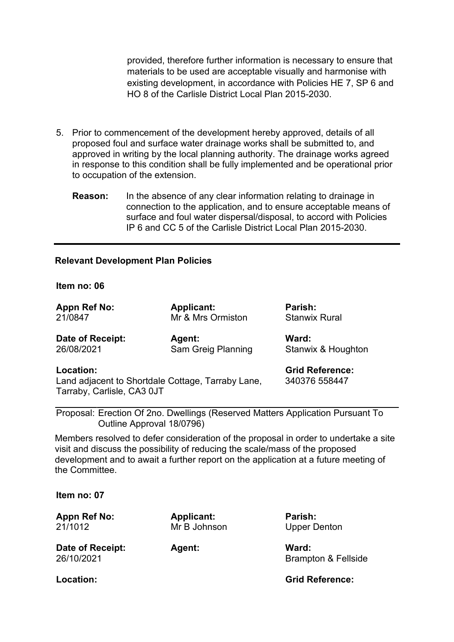provided, therefore further information is necessary to ensure that materials to be used are acceptable visually and harmonise with existing development, in accordance with Policies HE 7, SP 6 and HO 8 of the Carlisle District Local Plan 2015-2030.

- 5. Prior to commencement of the development hereby approved, details of all proposed foul and surface water drainage works shall be submitted to, and approved in writing by the local planning authority. The drainage works agreed in response to this condition shall be fully implemented and be operational prior to occupation of the extension.
	- **Reason:** In the absence of any clear information relating to drainage in connection to the application, and to ensure acceptable means of surface and foul water dispersal/disposal, to accord with Policies IP 6 and CC 5 of the Carlisle District Local Plan 2015-2030.

#### **Relevant Development Plan Policies**

#### **Item no: 06**

| <b>Appn Ref No:</b>                                                                                                                     | <b>Applicant:</b>  | Parish:              |
|-----------------------------------------------------------------------------------------------------------------------------------------|--------------------|----------------------|
| 21/0847                                                                                                                                 | Mr & Mrs Ormiston  | <b>Stanwix Rural</b> |
| Date of Receipt:                                                                                                                        | <b>Agent:</b>      | Ward:                |
| 26/08/2021                                                                                                                              | Sam Greig Planning | Stanwix & Houghton   |
| <b>Grid Reference:</b><br>Location:<br>Land adjacent to Shortdale Cottage, Tarraby Lane,<br>340376 558447<br>Tarraby, Carlisle, CA3 0JT |                    |                      |
| Proposal: Erection Of 2no. Dwellings (Reserved Matters Application Pursuant To<br>Outline Approval 18/0796)                             |                    |                      |

Members resolved to defer consideration of the proposal in order to undertake a site visit and discuss the possibility of reducing the scale/mass of the proposed development and to await a further report on the application at a future meeting of the Committee.

**Item no: 07**

**Appn Ref No: Applicant: Parish:**  21/1012 Mr B Johnson Upper Denton

Date of Receipt: Agent: **Mand:** Ward:

26/10/2021 Brampton & Fellside

**Location: Grid Reference:**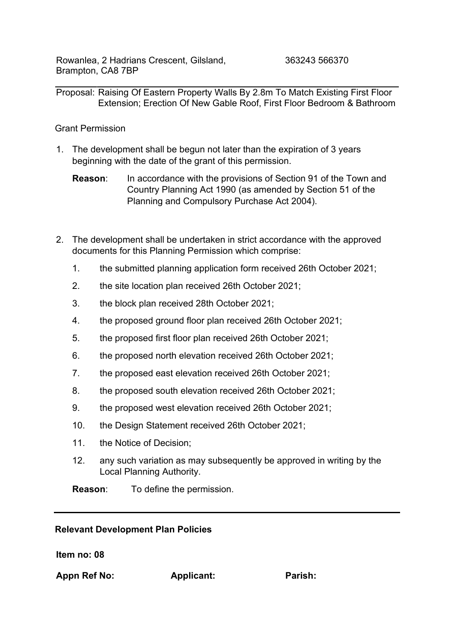Proposal: Raising Of Eastern Property Walls By 2.8m To Match Existing First Floor Extension; Erection Of New Gable Roof, First Floor Bedroom & Bathroom

## Grant Permission

- 1. The development shall be begun not later than the expiration of 3 years beginning with the date of the grant of this permission.
	- **Reason:** In accordance with the provisions of Section 91 of the Town and Country Planning Act 1990 (as amended by Section 51 of the Planning and Compulsory Purchase Act 2004).
- 2. The development shall be undertaken in strict accordance with the approved documents for this Planning Permission which comprise:
	- 1. the submitted planning application form received 26th October 2021;
	- 2. the site location plan received 26th October 2021;
	- 3. the block plan received 28th October 2021;
	- 4. the proposed ground floor plan received 26th October 2021;
	- 5. the proposed first floor plan received 26th October 2021;
	- 6. the proposed north elevation received 26th October 2021;
	- 7. the proposed east elevation received 26th October 2021;
	- 8. the proposed south elevation received 26th October 2021;
	- 9. the proposed west elevation received 26th October 2021;
	- 10. the Design Statement received 26th October 2021;
	- 11. the Notice of Decision;
	- 12. any such variation as may subsequently be approved in writing by the Local Planning Authority.

**Reason**: To define the permission.

## **Relevant Development Plan Policies**

**Item no: 08**

**Appn Ref No: Applicant: Parish:**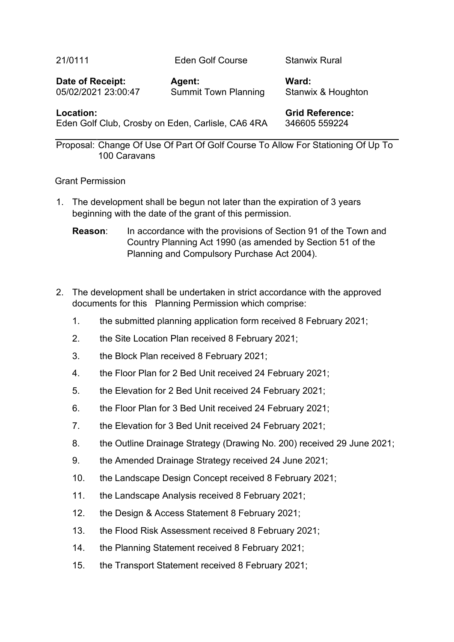| 21/0111          | <b>Eden Golf Course</b> | <b>Stanwix Rural</b> |
|------------------|-------------------------|----------------------|
| Date of Receipt: | <b>Agent:</b>           | Ward:                |
|                  |                         |                      |

05/02/2021 23:00:47 Summit Town Planning Stanwix & Houghton

**Location: Grid Reference: Grid Reference:** Eden Golf Club, Crosby on Eden, Carlisle, CA6 4RA 346605 559224

Proposal: Change Of Use Of Part Of Golf Course To Allow For Stationing Of Up To 100 Caravans

## Grant Permission

- 1. The development shall be begun not later than the expiration of 3 years beginning with the date of the grant of this permission.
	- **Reason:** In accordance with the provisions of Section 91 of the Town and Country Planning Act 1990 (as amended by Section 51 of the Planning and Compulsory Purchase Act 2004).
- 2. The development shall be undertaken in strict accordance with the approved documents for this Planning Permission which comprise:
	- 1. the submitted planning application form received 8 February 2021;
	- 2. the Site Location Plan received 8 February 2021;
	- 3. the Block Plan received 8 February 2021;
	- 4. the Floor Plan for 2 Bed Unit received 24 February 2021;
	- 5. the Elevation for 2 Bed Unit received 24 February 2021;
	- 6. the Floor Plan for 3 Bed Unit received 24 February 2021;
	- 7. the Elevation for 3 Bed Unit received 24 February 2021;
	- 8. the Outline Drainage Strategy (Drawing No. 200) received 29 June 2021;
	- 9. the Amended Drainage Strategy received 24 June 2021;
	- 10. the Landscape Design Concept received 8 February 2021;
	- 11. the Landscape Analysis received 8 February 2021;
	- 12. the Design & Access Statement 8 February 2021;
	- 13. the Flood Risk Assessment received 8 February 2021;
	- 14. the Planning Statement received 8 February 2021;
	- 15. the Transport Statement received 8 February 2021;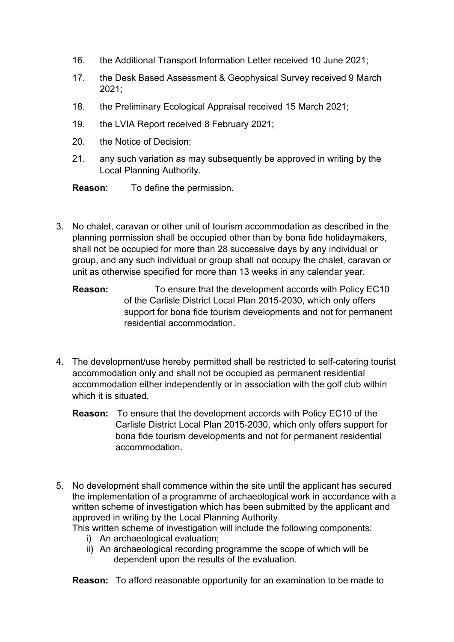- 16. the Additional Transport Information Letter received 10 June 2021;
- 17. the Desk Based Assessment & Geophysical Survey received 9 March 2021;
- 18. the Preliminary Ecological Appraisal received 15 March 2021;
- 19. the LVIA Report received 8 February 2021;
- 20. the Notice of Decision;
- 21. any such variation as may subsequently be approved in writing by the Local Planning Authority.
- **Reason**: To define the permission.
- 3. No chalet, caravan or other unit of tourism accommodation as described in the planning permission shall be occupied other than by bona fide holidaymakers, shall not be occupied for more than 28 successive days by any individual or group, and any such individual or group shall not occupy the chalet, caravan or unit as otherwise specified for more than 13 weeks in any calendar year.
	- **Reason:** To ensure that the development accords with Policy EC10 of the Carlisle District Local Plan 2015-2030, which only offers support for bona fide tourism developments and not for permanent residential accommodation.
- 4. The development/use hereby permitted shall be restricted to self-catering tourist accommodation only and shall not be occupied as permanent residential accommodation either independently or in association with the golf club within which it is situated.
	- **Reason:** To ensure that the development accords with Policy EC10 of the Carlisle District Local Plan 2015-2030, which only offers support for bona fide tourism developments and not for permanent residential accommodation.
- 5. No development shall commence within the site until the applicant has secured the implementation of a programme of archaeological work in accordance with a written scheme of investigation which has been submitted by the applicant and approved in writing by the Local Planning Authority.

This written scheme of investigation will include the following components:

- i) An archaeological evaluation:
- ii) An archaeological recording programme the scope of which will be dependent upon the results of the evaluation.

**Reason:** To afford reasonable opportunity for an examination to be made to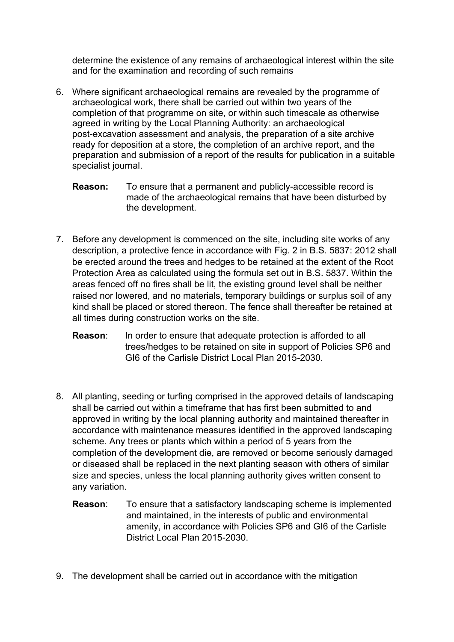determine the existence of any remains of archaeological interest within the site and for the examination and recording of such remains

- 6. Where significant archaeological remains are revealed by the programme of archaeological work, there shall be carried out within two years of the completion of that programme on site, or within such timescale as otherwise agreed in writing by the Local Planning Authority: an archaeological post-excavation assessment and analysis, the preparation of a site archive ready for deposition at a store, the completion of an archive report, and the preparation and submission of a report of the results for publication in a suitable specialist journal.
	- **Reason:** T*o* ensure that a permanent and publicly-accessible record is made of the archaeological remains that have been disturbed by the development.
- 7. Before any development is commenced on the site, including site works of any description, a protective fence in accordance with Fig. 2 in B.S. 5837: 2012 shall be erected around the trees and hedges to be retained at the extent of the Root Protection Area as calculated using the formula set out in B.S. 5837. Within the areas fenced off no fires shall be lit, the existing ground level shall be neither raised nor lowered, and no materials, temporary buildings or surplus soil of any kind shall be placed or stored thereon. The fence shall thereafter be retained at all times during construction works on the site.
	- **Reason:** In order to ensure that adequate protection is afforded to all trees/hedges to be retained on site in support of Policies SP6 and GI6 of the Carlisle District Local Plan 2015-2030.
- 8. All planting, seeding or turfing comprised in the approved details of landscaping shall be carried out within a timeframe that has first been submitted to and approved in writing by the local planning authority and maintained thereafter in accordance with maintenance measures identified in the approved landscaping scheme. Any trees or plants which within a period of 5 years from the completion of the development die, are removed or become seriously damaged or diseased shall be replaced in the next planting season with others of similar size and species, unless the local planning authority gives written consent to any variation.
	- **Reason**: To ensure that a satisfactory landscaping scheme is implemented and maintained, in the interests of public and environmental amenity, in accordance with Policies SP6 and GI6 of the Carlisle District Local Plan 2015-2030.
- 9. The development shall be carried out in accordance with the mitigation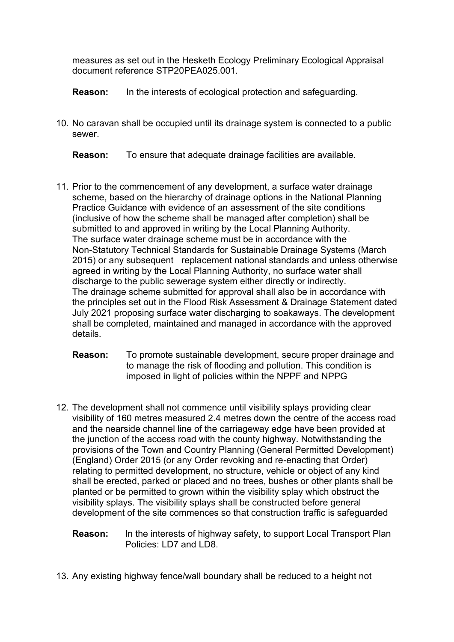measures as set out in the Hesketh Ecology Preliminary Ecological Appraisal document reference STP20PEA025.001.

**Reason:** In the interests of ecological protection and safeguarding.

10. No caravan shall be occupied until its drainage system is connected to a public sewer.

**Reason:** To ensure that adequate drainage facilities are available.

- 11. Prior to the commencement of any development, a surface water drainage scheme, based on the hierarchy of drainage options in the National Planning Practice Guidance with evidence of an assessment of the site conditions (inclusive of how the scheme shall be managed after completion) shall be submitted to and approved in writing by the Local Planning Authority. The surface water drainage scheme must be in accordance with the Non-Statutory Technical Standards for Sustainable Drainage Systems (March 2015) or any subsequent replacement national standards and unless otherwise agreed in writing by the Local Planning Authority, no surface water shall discharge to the public sewerage system either directly or indirectly. The drainage scheme submitted for approval shall also be in accordance with the principles set out in the Flood Risk Assessment & Drainage Statement dated July 2021 proposing surface water discharging to soakaways. The development shall be completed, maintained and managed in accordance with the approved details.
	- **Reason:** To promote sustainable development, secure proper drainage and to manage the risk of flooding and pollution. This condition is imposed in light of policies within the NPPF and NPPG
- 12. The development shall not commence until visibility splays providing clear visibility of 160 metres measured 2.4 metres down the centre of the access road and the nearside channel line of the carriageway edge have been provided at the junction of the access road with the county highway. Notwithstanding the provisions of the Town and Country Planning (General Permitted Development) (England) Order 2015 (or any Order revoking and re-enacting that Order) relating to permitted development, no structure, vehicle or object of any kind shall be erected, parked or placed and no trees, bushes or other plants shall be planted or be permitted to grown within the visibility splay which obstruct the visibility splays. The visibility splays shall be constructed before general development of the site commences so that construction traffic is safeguarded

## **Reason:** In the interests of highway safety, to support Local Transport Plan Policies: LD7 and LD8

13. Any existing highway fence/wall boundary shall be reduced to a height not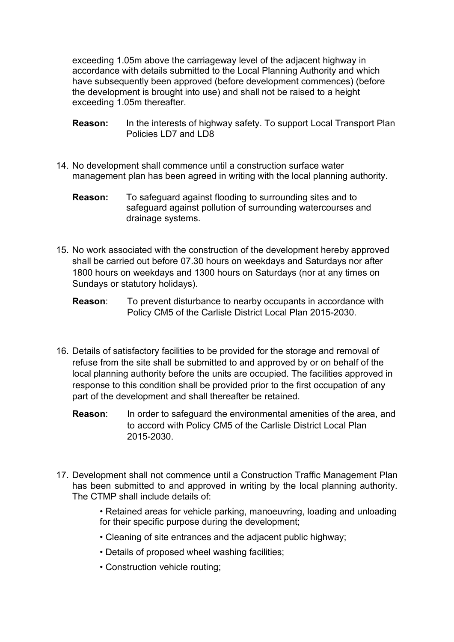exceeding 1.05m above the carriageway level of the adjacent highway in accordance with details submitted to the Local Planning Authority and which have subsequently been approved (before development commences) (before the development is brought into use) and shall not be raised to a height exceeding 1.05m thereafter.

- **Reason:** In the interests of highway safety. To support Local Transport Plan Policies LD7 and LD8
- 14. No development shall commence until a construction surface water management plan has been agreed in writing with the local planning authority.
	- **Reason:** To safeguard against flooding to surrounding sites and to safeguard against pollution of surrounding watercourses and drainage systems.
- 15. No work associated with the construction of the development hereby approved shall be carried out before 07.30 hours on weekdays and Saturdays nor after 1800 hours on weekdays and 1300 hours on Saturdays (nor at any times on Sundays or statutory holidays).
	- **Reason:** To prevent disturbance to nearby occupants in accordance with Policy CM5 of the Carlisle District Local Plan 2015-2030.
- 16. Details of satisfactory facilities to be provided for the storage and removal of refuse from the site shall be submitted to and approved by or on behalf of the local planning authority before the units are occupied. The facilities approved in response to this condition shall be provided prior to the first occupation of any part of the development and shall thereafter be retained.
	- **Reason:** In order to safeguard the environmental amenities of the area, and to accord with Policy CM5 of the Carlisle District Local Plan 2015-2030.
- 17. Development shall not commence until a Construction Traffic Management Plan has been submitted to and approved in writing by the local planning authority. The CTMP shall include details of:
	- Retained areas for vehicle parking, manoeuvring, loading and unloading for their specific purpose during the development;
	- Cleaning of site entrances and the adjacent public highway;
	- Details of proposed wheel washing facilities;
	- Construction vehicle routing;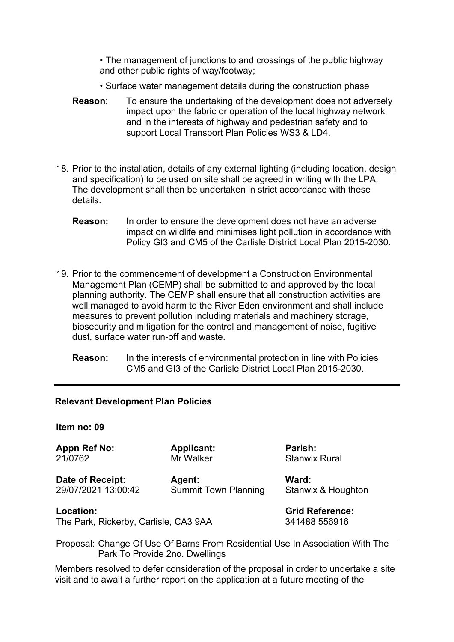• The management of junctions to and crossings of the public highway and other public rights of way/footway;

- Surface water management details during the construction phase
- **Reason**: To ensure the undertaking of the development does not adversely impact upon the fabric or operation of the local highway network and in the interests of highway and pedestrian safety and to support Local Transport Plan Policies WS3 & LD4.
- 18. Prior to the installation, details of any external lighting (including location, design and specification) to be used on site shall be agreed in writing with the LPA. The development shall then be undertaken in strict accordance with these details.
	- **Reason:** In order to ensure the development does not have an adverse impact on wildlife and minimises light pollution in accordance with Policy GI3 and CM5 of the Carlisle District Local Plan 2015-2030.
- 19. Prior to the commencement of development a Construction Environmental Management Plan (CEMP) shall be submitted to and approved by the local planning authority. The CEMP shall ensure that all construction activities are well managed to avoid harm to the River Eden environment and shall include measures to prevent pollution including materials and machinery storage, biosecurity and mitigation for the control and management of noise, fugitive dust, surface water run-off and waste.
	- **Reason:** In the interests of environmental protection in line with Policies CM5 and GI3 of the Carlisle District Local Plan 2015-2030.

#### **Relevant Development Plan Policies**

**Item no: 09**

**Appn Ref No: Applicant: Parish:**  21/0762 Mr Walker Stanwix Rural

Date of Receipt: Agent: Ward: 29/07/2021 13:00:42 Summit Town Planning Stanwix & Houghton

The Park, Rickerby, Carlisle, CA3 9AA 341488 556916

**Location: Grid Reference:** 

Proposal: Change Of Use Of Barns From Residential Use In Association With The Park To Provide 2no. Dwellings

Members resolved to defer consideration of the proposal in order to undertake a site visit and to await a further report on the application at a future meeting of the